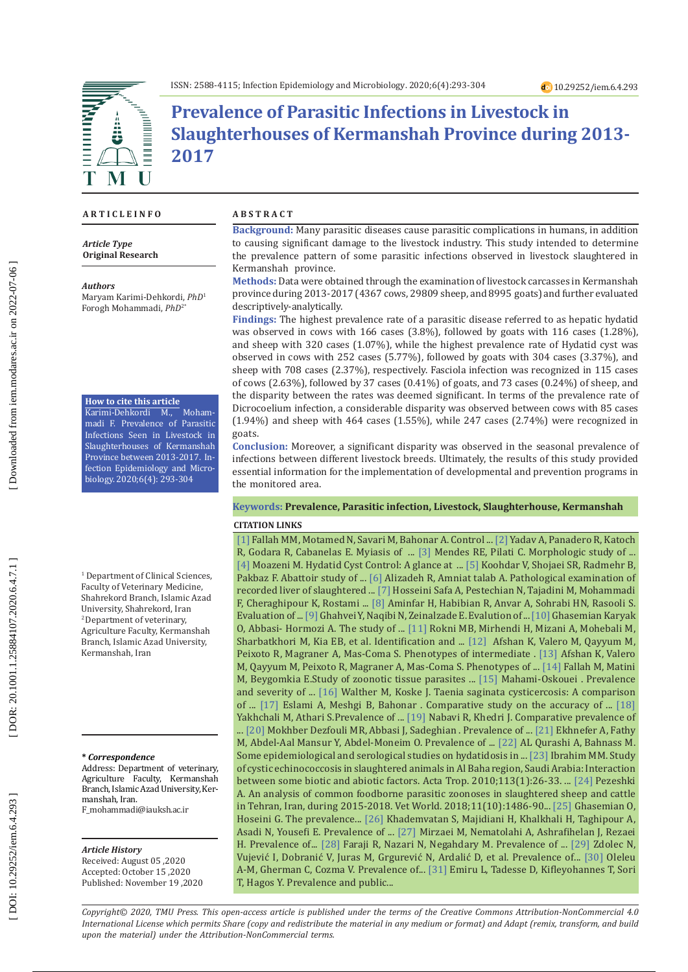

# **Prevalence of Parasitic Infections in Livestock in Slaughterhouses of Kermanshah Province during 2013- 2017**

## **A R T I C L E I N F O**

*Article Type* **Original Research**

#### *Authors*

Maryam Karimi-Dehkordi, *PhD* 1 Forogh Mohammadi, *PhD*2\*

## **How to cite this article**

Karimi-Dehkordi M., Mohammadi F. Prevalence of Parasitic Infections Seen in Livestock in Slaughterhouses of Kermanshah Province between 2013-2017. In fection Epidemiology and Micro biology. 2020;6(4): 293-304

<sup>1</sup> Department of Clinical Sciences, Faculty of Veterinary Medicine, Shahrekord Branch, Islamic Azad University, Shahrekord, Iran 2 Department of veterinary, Agriculture Faculty, Kermanshah Branch, Islamic Azad University, Kermanshah, Iran

#### **\*** *Correspondence*

Address: Department of veterinary, Agriculture Faculty, Kermanshah Branch, Islamic Azad University, Ker manshah, Iran. F\_mohammadi@iauksh.ac.ir

#### *Article History*

Received: August 05 ,2020 Accepted: October 15 ,2020 Published: November 19 ,2020

## **A B S T R A C T**

**Background:** Many parasitic diseases cause parasitic complications in humans, in addition to causing significant damage to the livestock industry. This study intended to determine the prevalence pattern of some parasitic infections observed in livestock slaughtered in Kermanshah province.

**Methods:** Data were obtained through the examination of livestock carcasses in Kermanshah province during 2013-2017 (4367 cows, 29809 sheep, and 8995 goats) and further evaluated descriptively-analytically.

**Findings:** The highest prevalence rate of a parasitic disease referred to as hepatic hydatid was observed in cows with 166 cases (3.8%), followed by goats with 116 cases (1.28%), and sheep with 320 cases (1.07%), while the highest prevalence rate of Hydatid cyst was observed in cows with 252 cases (5.77%), followed by goats with 304 cases (3.37%), and sheep with 708 cases (2.37%), respectively. Fasciola infection was recognized in 115 cases of cows (2.63%), followed by 37 cases (0.41%) of goats, and 73 cases (0.24%) of sheep, and the disparity between the rates was deemed significant. In terms of the prevalence rate of Dicrocoelium infection, a considerable disparity was observed between cows with 85 cases  $(1.94\%)$  and sheep with 464 cases  $(1.55\%)$ , while 247 cases  $(2.74\%)$  were recognized in goats.

**Conclusion:** Moreover, a significant disparity was observed in the seasonal prevalence of infections between different livestock breeds. Ultimately, the results of this study provided essential information for the implementation of developmental and prevention programs in the monitored area.

## **Keywords: Prevalence, Parasitic infection, Livestock, Slaughterhouse, Kermanshah**

## **CITATION LINKS**

 $\left[ 4\right]$ Moazeni M. Hydatid Cyst Control: A glance at ...  $\left[ 5\right]$  Koohdar V, Shojaei SR, Radmehr B, [\[1\]](https://www.sid.ir/en/Journal/ViewPaper.aspx?ID=695202) Fallah MM, Motamed N, Savari M, Bahonar A. Control ... [\[2\]](https://www.sciencedirect.com/science/article/pii/S0304401717303060) Yadav A, Panadero R, Katoch R, Godara R, Cabanelas E. Myiasis of ... [\[3\]](https://www.scielo.br/scielo.php?pid=S0103-84782007000600035&script=sci_arttext&tlng=es) Mendes RE, Pilati C. Morphologic study of ... Pakbaz F. Abattoir study of ... [\[6\]](http://jvcr.kiau.ac.ir/article_664447.html) Alizadeh R, Amniat talab A. Pathological examination of recorded liver of slaughtered ... [\[7\]](http://tmuj.iautmu.ac.ir/article-1-751-en.html) Hosseini Safa A, Pestechian N, Tajadini M, Mohammadi F, Cheraghipour K, Rostami ... [\[8\]](https://www.sid.ir/en/Journal/ViewPaper.aspx?ID=271958) Aminfar H, Habibian R, Anvar A, Sohrabi HN, Rasooli S. Evaluation of ... [\[9\]](https://knh.shmu.ac.ir/index.php/site/article/view/2202) Ghahvei Y, Naqibi N, Zeinalzade E. Evalution of ... [\[10\]](https://www.sid.ir/fa/VEWSSID/J_pdf/6010813921506.pdf) Ghasemian Karyak O, Abbasi- Hormozi A. The study of ... [\[11\]](https://pubmed.ncbi.nlm.nih.gov/19769969/) Rokni MB, Mirhendi H, Mizani A, Mohebali M, Sharbatkhori M, Kia EB, et al. Identification and ... [\[12\]](https://pubmed.ncbi.nlm.nih.gov/23731975/) Afshan K, Valero M, Qayyum M, Peixoto R, Magraner A, Mas-Coma S. Phenotypes of intermediate . [\[13\]](https://www.cambridge.org/core/journals/journal-of-helminthology/article/phenotypes-of-intermediate-forms-of-fasciola-hepatica-and-f-gigantica-in-buffaloes-from-central-punjab-pakistan/27FDC4953EEC360F73961306C8B0F6AB) Afshan K, Valero M, Qayyum M, Peixoto R, Magraner A, Mas-Coma S. Phenotypes of ... [\[14\]](http://sjh.umsha.ac.ir/article-1-260-en.html) Fallah M, Matini M, Beygomkia E.Study of zoonotic tissue parasites ... [\[15\]](http://feyz.kaums.ac.ir/browse.php?a_id=1484&sid=1&slc_lang=en) Mahami-Oskouei . Prevalence and severity of ... [\[16\]](https://www.cabdirect.org/cabdirect/abstract/19800873192) Walther M, Koske J. Taenia saginata cysticercosis: A comparison of ... [\[17\]](https://www.sid.ir/en/Journal/ViewPaper.aspx?ID=49170) Eslami A, Meshgi B, Bahonar . Comparative study on the accuracy of ... [\[18\]](https://www.cabdirect.org/cabdirect/abstract/20103096461) Yakhchali M, Athari S.Prevalence of ... [\[19\]](https://link.springer.com/article/10.1007/s12639-013-0262-0) Nabavi R, Khedri J. Comparative prevalence of ... [\[20\]](http://ijrhr.scu.ac.ir/article_12843.html) Mokhber Dezfouli MR, Abbasi J, Sadeghian . Prevalence of ... [\[21\]](https://www.cabdirect.org/cabdirect/abstract/20123200565) Ekhnefer A, Fathy M, Abdel-Aal Mansur Y, Abdel-Moneim O. Prevalence of ... [\[22\]](https://www.sid.ir/en/journal/ViewPaper.aspx?ID=406687) AL Qurashi A, Bahnass M. Some epidemiological and serological studies on hydatidosis in ... [\[23\]](https://www.sciencedirect.com/science/article/pii/S0001706X09002587) Ibrahim MM. Study of cystic echinococcosis in slaughtered animals in Al Baha region, Saudi Arabia: Interaction between some biotic and abiotic factors. Acta Trop. 2010;113(1):26-33. ... [\[24\]](https://www.ncbi.nlm.nih.gov/pmc/articles/PMC6247887/) Pezeshki A. An analysis of common foodborne parasitic zoonoses in slaughtered sheep and cattle in Tehran, Iran, during 2015-2018. Vet World. 2018;11(10):1486-90... [\[25\]](https://www.researchgate.net/profile/Ata_Kaboudari3/publication/323812226_The_prevalence_study_of_hydatid_cyst_in_domesticated_slaughtered_animals_in_industrial_abattoirs_in_Iran/links/5aac12cd0f7e9b4897bc91a6/The-prevalence-study-of-hydatid-cyst-in-domes\
ticated-slaughtered-animals-in-industrial-abattoirs-in-Iran.pdf) Ghasemian O, Hoseini G. The prevalence... [\[26\]](https://www.sciencedirect.com/science/article/pii/S0147957119300803) Khademvatan S, Majidiani H, Khalkhali H, Taghipour A, Asadi N, Yousefi E. Prevalence of ... [\[27\]](http://cms.galenos.com.tr/Uploads/Article_22384/TPD-40-190.pdf) Mirzaei M, Nematolahi A, Ashrafihelan J, Rezaei H. Prevalence of... [\[28\]](https://www.researchgate.net/profile/Reza_Faraji5/publication/279806556_Prevalence_of_cysticercus_of_Taenia_saginata_in_cattle_slaughtered/links/559b506008ae99aa62ce3fa3.pdf) Faraji R, Nazari N, Negahdary M. Prevalence of ... [\[29\]](https://link.springer.com/article/10.2478/s11687-012-0043-9) Zdolec N, Vujević I, Dobranić V, Juras M, Grgurević N, Ardalić D, et al. Prevalence of... [\[30\]](http://scientia.zooparaz.net/2015_16_01/47-52-sp-1-2015-Oleleu-2.pdf) Oleleu A-M, Gherman C, Cozma V. Prevalence of... [\[31\]](https://academicjournals.org/journal/JPHE/article-abstract/F575D0D50261) Emiru L, Tadesse D, Kifleyohannes T, Sori T, Hagos Y. Prevalence and public...

*Copyright© 2020, TMU Press. This open-access article is published under the terms of the Creative Commons Attribution-NonCommercial 4.0 International License which permits Share (copy and redistribute the material in any medium or format) and Adapt (remix, transform, and build upon the material) under the Attribution-NonCommercial terms.*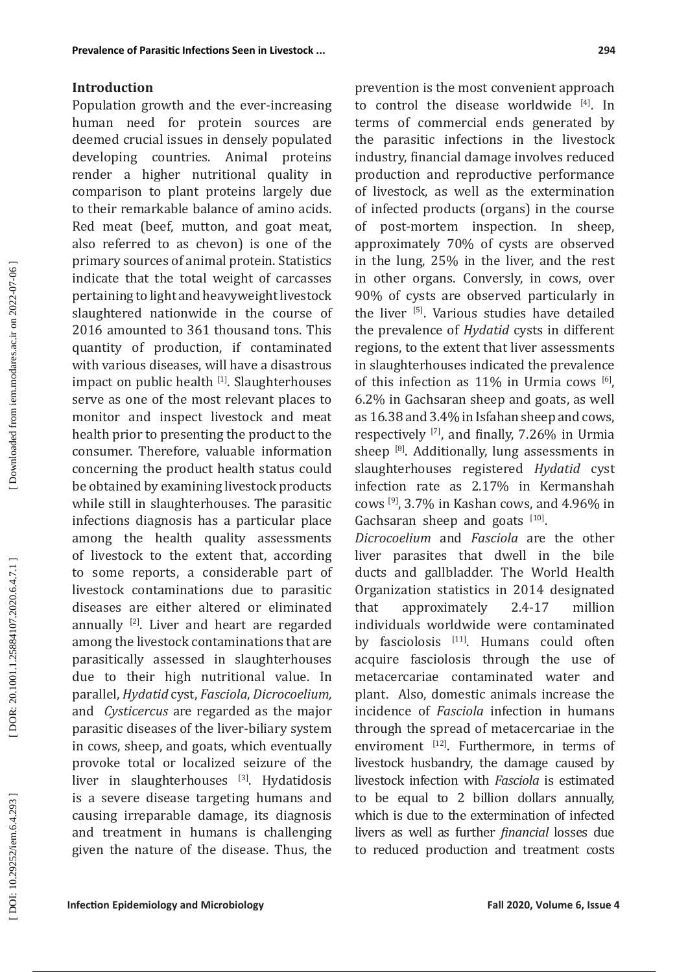Population growth and the ever-increasing human need for protein sources are deemed crucial issues in densely populated developing countries. Animal proteins render a higher nutritional quality in comparison to plant proteins largely due to their remarkable balance of amino acids. Red meat (beef, mutton, and goat meat, also referred to as chevon) is one of the primary sources of animal protein. Statistics indicate that the total weight of carcasses pertaining to light and heavyweight livestock slaughtered nationwide in the course of 2016 amounted to 361 thousand tons. This quantity of production, if contaminated with various diseases, will have a disastrous impact on public health [1]. Slaughterhouses serve as one of the most relevant places to monitor and inspect livestock and meat health prior to presenting the product to the consumer. Therefore, valuable information concerning the product health status could be obtained by examining livestock products while still in slaughterhouses. The parasitic infections diagnosis has a particular place among the health quality assessments of livestock to the extent that, according to some reports, a considerable part of livestock contaminations due to parasitic diseases are either altered or eliminated annually [2]. Liver and heart are regarded among the livestock contaminations that are parasitically assessed in slaughterhouses due to their high nutritional value. In parallel, *Hydatid* cyst, *Fasciola*, *Dicrocoelium,*  and *Cysticercus* are regarded as the major parasitic diseases of the liver-biliary system in cows, sheep, and goats, which eventually provoke total or localized seizure of the liver in slaughterhouses [3]. Hydatidosis is a severe disease targeting humans and causing irreparable damage, its diagnosis and treatment in humans is challenging given the nature of the disease. Thus, the prevention is the most convenient approach to control the disease worldwide [4]. In terms of commercial ends generated by the parasitic infections in the livestock industry, financial damage involves reduced production and reproductive performance of livestock, as well as the extermination of infected products (organs) in the course of post-mortem inspection. In sheep, approximately 70% of cysts are observed in the lung, 25% in the liver, and the rest in other organs. Conversly, in cows, over 90% of cysts are observed particularly in the liver [5]. Various studies have detailed the prevalence of *Hydatid* cysts in different regions, to the extent that liver assessments in slaughterhouses indicated the prevalence of this infection as  $11\%$  in Urmia cows  $^{[6]}$ , 6.2% in Gachsaran sheep and goats, as well as 16.38 and 3.4% in Isfahan sheep and cows, respectively [7], and finally, 7.26% in Urmia sheep [8]. Additionally, lung assessments in slaughterhouses registered *Hydatid* cyst infection rate as 2.17% in Kermanshah cows  $^{[9]}$ , 3.7% in Kashan cows, and 4.96% in Gachsaran sheep and goats  $[10]$ .

*Dicrocoelium* and *Fasciola* are the other liver parasites that dwell in the bile ducts and gallbladder. The World Health Organization statistics in 2014 designated that approximately 2.4-17 million individuals worldwide were contaminated by fasciolosis [11]. Humans could often acquire fasciolosis through the use of metacercariae contaminated water and plant. Also, domestic animals increase the incidence of *Fasciola* infection in humans through the spread of metacercariae in the enviroment [12]. Furthermore, in terms of livestock husbandry, the damage caused by livestock infection with *Fasciola* is estimated to be equal to 2 billion dollars annually, which is due to the extermination of infected livers as well as further *financial* losses due to reduced production and treatment costs

Downloaded from iem.modares.ac.ir on 2022-07-06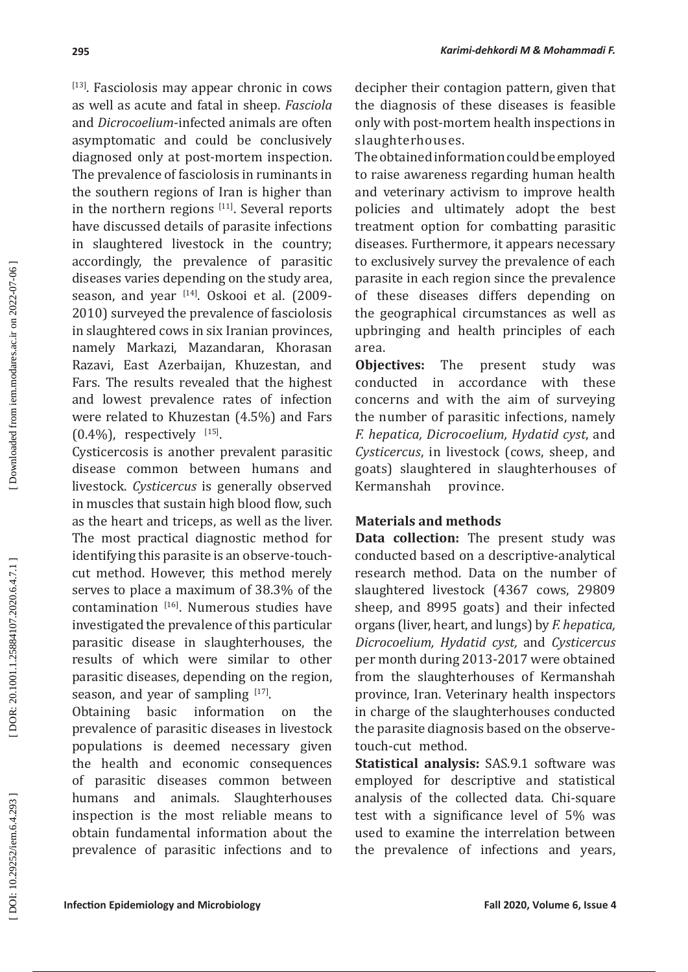[13]. Fasciolosis may appear chronic in cows as well as acute and fatal in sheep. *Fasciola*  and *Dicrocoelium*-infected animals are often asymptomatic and could be conclusively diagnosed only at post-mortem inspection. The prevalence of fasciolosis in ruminants in the southern regions of Iran is higher than in the northern regions  $[11]$ . Several reports have discussed details of parasite infections in slaughtered livestock in the country; accordingly, the prevalence of parasitic diseases varies depending on the study area, season, and year [14]. Oskooi et al. (2009-2010) surveyed the prevalence of fasciolosis in slaughtered cows in six Iranian provinces, namely Markazi, Mazandaran, Khorasan Razavi, East Azerbaijan, Khuzestan, and Fars. The results revealed that the highest and lowest prevalence rates of infection were related to Khuzestan (4.5%) and Fars  $(0.4\%)$ , respectively  $[15]$ .

Cysticercosis is another prevalent parasitic disease common between humans and livestock. *Cysticercus* is generally observed in muscles that sustain high blood flow, such as the heart and triceps, as well as the liver. The most practical diagnostic method for identifying this parasite is an observe-touchcut method. However, this method merely serves to place a maximum of 38.3% of the contamination [16]. Numerous studies have investigated the prevalence of this particular parasitic disease in slaughterhouses, the results of which were similar to other parasitic diseases, depending on the region, season, and year of sampling  $[17]$ .

Obtaining basic information on the prevalence of parasitic diseases in livestock populations is deemed necessary given the health and economic consequences of parasitic diseases common between humans and animals. Slaughterhouses inspection is the most reliable means to obtain fundamental information about the prevalence of parasitic infections and to

decipher their contagion pattern, given that the diagnosis of these diseases is feasible only with post-mortem health inspections in slaughterhouses.

The obtained information could be employed to raise awareness regarding human health and veterinary activism to improve health policies and ultimately adopt the best treatment option for combatting parasitic diseases. Furthermore, it appears necessary to exclusively survey the prevalence of each parasite in each region since the prevalence of these diseases differs depending on the geographical circumstances as well as upbringing and health principles of each area.

**Objectives:** The present study was conducted in accordance with these concerns and with the aim of surveying the number of parasitic infections, namely *F. hepatica, Dicrocoelium, Hydatid cyst*, and *Cysticercus*, in livestock (cows, sheep, and goats) slaughtered in slaughterhouses of Kermanshah

## **Materials and methods**

**Data collection:** The present study was conducted based on a descriptive-analytical research method. Data on the number of slaughtered livestock (4367 cows, 29809 sheep, and 8995 goats) and their infected organs (liver, heart, and lungs) by *F. hepatica, Dicrocoelium, Hydatid cyst,* and *Cysticercus*  per month during 2013-2017 were obtained from the slaughterhouses of Kermanshah province, Iran. Veterinary health inspectors in charge of the slaughterhouses conducted the parasite diagnosis based on the observetouch-cut method.

**Statistical analysis:** SAS.9.1 software was employed for descriptive and statistical analysis of the collected data. Chi-square test with a significance level of 5% was used to examine the interrelation between the prevalence of infections and years,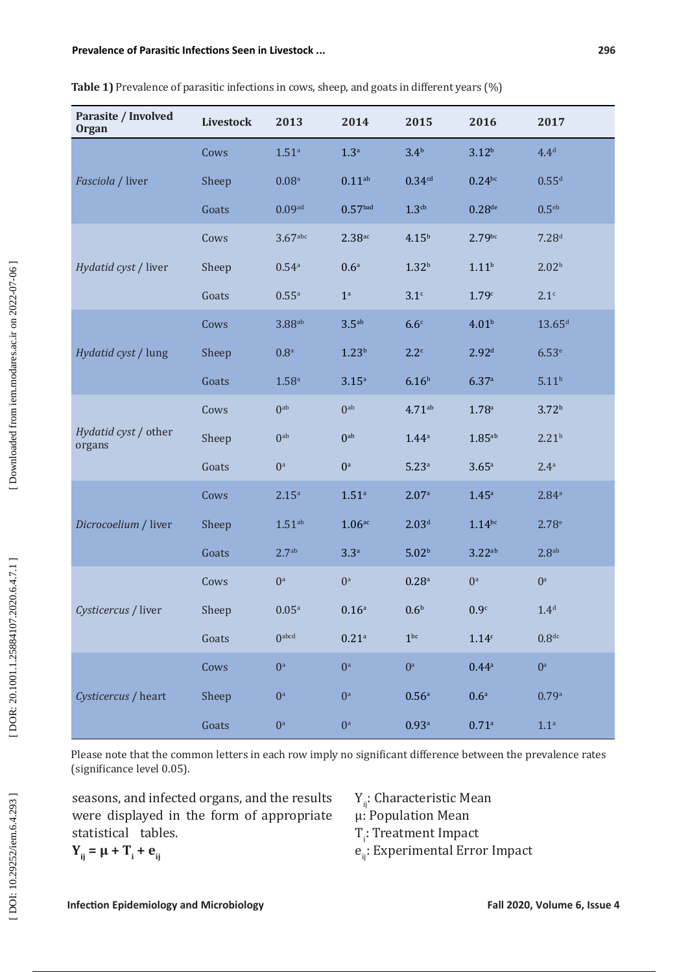| Parasite / Involved<br><b>Organ</b> | <b>Livestock</b> | 2013                 | 2014                    | 2015                | 2016                 | 2017                 |
|-------------------------------------|------------------|----------------------|-------------------------|---------------------|----------------------|----------------------|
| Fasciola / liver                    | Cows             | 1.51 <sup>a</sup>    | 1.3 <sup>a</sup>        | 3.4 <sup>b</sup>    | 3.12 <sup>b</sup>    | 4.4 <sup>d</sup>     |
|                                     | Sheep            | 0.08 <sup>a</sup>    | 0.11 <sup>ab</sup>      | 0.34 <sup>cd</sup>  | $0.24^{bc}$          | $0.55^{d}$           |
|                                     | Goats            | 0.09 <sup>ad</sup>   | 0.57 <sup>bad</sup>     | 1.3 <sup>cb</sup>   | $0.28$ <sub>de</sub> | 0.5 <sup>eb</sup>    |
| Hydatid cyst / liver                | Cows             | $3.67$ abc           | $2.38$ <sub>ac</sub>    | $4.15^{b}$          | 2.79 <sup>bc</sup>   | 7.28 <sup>d</sup>    |
|                                     | Sheep            | $0.54$ <sup>a</sup>  | 0.6 <sup>a</sup>        | $1.32^{b}$          | 1.11 <sup>b</sup>    | 2.02 <sup>b</sup>    |
|                                     | Goats            | 0.55a                | $\mathbf{1}^{\text{a}}$ | 3.1 <sup>c</sup>    | 1.79c                | 2.1 <sup>c</sup>     |
| Hydatid cyst / lung                 | Cows             | $3.88$ <sup>ab</sup> | $3.5^{ab}$              | 6.6 <sup>c</sup>    | 4.01 <sup>b</sup>    | $13.65$ <sup>d</sup> |
|                                     | Sheep            | $0.8^{\rm a}$        | 1.23 <sup>b</sup>       | $2.2^c$             | 2.92 <sup>d</sup>    | 6.53 <sup>e</sup>    |
|                                     | Goats            | $1.58$ ${\rm a}$     | 3.15 <sup>a</sup>       | 6.16 <sup>b</sup>   | 6.37a                | 5.11 <sup>b</sup>    |
| Hydatid cyst / other<br>organs      | Cows             | 0 <sup>ab</sup>      | 0 <sup>ab</sup>         | $4.71^{ab}$         | 1.78 <sup>a</sup>    | 3.72 <sup>b</sup>    |
|                                     | Sheep            | 0 <sup>ab</sup>      | 0 <sup>ab</sup>         | 1.44a               | $1.85$ <sup>ab</sup> | 2.21 <sup>b</sup>    |
|                                     | Goats            | $0^a$                | $0^a$                   | 5.23a               | 3.65a                | 2.4 <sup>a</sup>     |
| Dicrocoelium / liver                | Cows             | 2.15 <sup>a</sup>    | 1.51 <sup>a</sup>       | 2.07a               | 1.45 <sup>a</sup>    | 2.84 <sup>a</sup>    |
|                                     | Sheep            | $1.51^{ab}$          | $1.06$ <sub>ac</sub>    | 2.03 <sup>d</sup>   | $1.14$ bc            | 2.78 <sup>e</sup>    |
|                                     | Goats            | 2.7 <sup>ab</sup>    | 3.3a                    | 5.02 <sup>b</sup>   | 3.22ab               | 2.8 <sup>ab</sup>    |
| Cysticercus / liver                 | Cows             | $0^a$                | $0^a$                   | $0.28$ <sup>a</sup> | $0^a$                | $0^a$                |
|                                     | Sheep            | 0.05a                | 0.16a                   | 0.6 <sup>b</sup>    | 0.9 <sup>c</sup>     | 1.4 <sup>d</sup>     |
|                                     | Goats            | 0 <sub>abcd</sub>    | $0.21$ <sup>a</sup>     | 1 <sup>bc</sup>     | 1.14 <sup>c</sup>    | 0.8 <sup>dc</sup>    |
| Cysticercus / heart                 | Cows             | $0^a$                | $0^a$                   | $0^a$               | 0.44a                | $0^{\mathrm{a}}$     |
|                                     | Sheep            | $0^a$                | $0^a$                   | 0.56 <sup>a</sup>   | 0.6 <sup>a</sup>     | 0.79a                |
|                                     | Goats            | $0^{\rm a}$          | $0^a$                   | 0.93a               | 0.71a                | 1.1 <sup>a</sup>     |

| Table 1) Prevalence of parasitic infections in cows, sheep, and goats in different years (%) |  |  |
|----------------------------------------------------------------------------------------------|--|--|
|----------------------------------------------------------------------------------------------|--|--|

Please note that the common letters in each row imply no significant difference between the prevalence rates (significance level 0.05).

seasons, and infected organs, and the results were displayed in the form of appropriate statistical tables.

- Y<sub>ij</sub>: Characteristic Mean μ: Population Mean
- T<sub>i</sub>: Treatment Impact
- e<sub>ij</sub>: Experimental Error Impact

 $Y_{ij} = \mu + T_i + e_{ij}$ 

[DOR: 20.1001.1.25884107.2020.6.4.7.1]

DOI: 10.29252/iem.6.4.293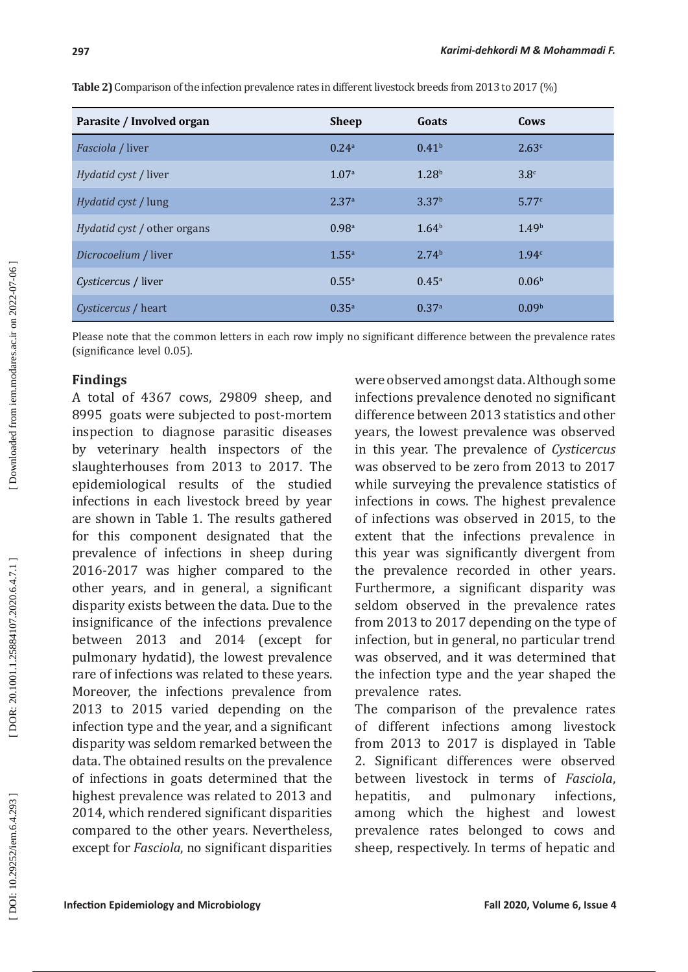| Parasite / Involved organ          | <b>Sheep</b>      | Goats             | Cows              |
|------------------------------------|-------------------|-------------------|-------------------|
| <i>Fasciola</i> / liver            | 0.24a             | 0.41 <sup>b</sup> | 2.63c             |
| <i>Hydatid cyst / liver</i>        | 1.07 <sup>a</sup> | 1.28 <sup>b</sup> | 3.8 <sup>c</sup>  |
| <i>Hydatid cyst / lung</i>         | 2.37 <sup>a</sup> | 3.37 <sup>b</sup> | 5.77c             |
| <i>Hydatid cyst / other organs</i> | 0.98 <sup>a</sup> | 1.64 <sup>b</sup> | 1.49 <sup>b</sup> |
| Dicrocoelium / liver               | $1.55^{\circ}$    | 2.74 <sup>b</sup> | 1.94c             |
| Cysticercus / liver                | $0.55^{\rm a}$    | $0.45^{\rm a}$    | 0.06 <sup>b</sup> |
| <i>Cysticercus / heart</i>         | $0.35^{\circ}$    | 0.37a             | 0.09 <sup>b</sup> |

**Table 2)** Comparison of the infection prevalence rates in different livestock breeds from 2013 to 2017 (%)

Please note that the common letters in each row imply no significant difference between the prevalence rates (significance level 0.05).

# **Findings**

A total of 4367 cows, 29809 sheep, and 8995 goats were subjected to post-mortem inspection to diagnose parasitic diseases by veterinary health inspectors of the slaughterhouses from 2013 to 2017. The epidemiological results of the studied infections in each livestock breed by year are shown in Table 1. The results gathered for this component designated that the prevalence of infections in sheep during 2016-2017 was higher compared to the other years, and in general, a significant disparity exists between the data. Due to the insignificance of the infections prevalence between 2013 and 2014 (except for pulmonary hydatid), the lowest prevalence rare of infections was related to these years. Moreover, the infections prevalence from 2013 to 2015 varied depending on the infection type and the year, and a significant disparity was seldom remarked between the data. The obtained results on the prevalence of infections in goats determined that the highest prevalence was related to 2013 and 2014, which rendered significant disparities compared to the other years. Nevertheless, except for *Fasciola*, no significant disparities were observed amongst data. Although some infections prevalence denoted no significant difference between 2013 statistics and other years, the lowest prevalence was observed in this year. The prevalence of *Cysticercus*  was observed to be zero from 2013 to 2017 while surveying the prevalence statistics of infections in cows. The highest prevalence of infections was observed in 2015, to the extent that the infections prevalence in this year was significantly divergent from the prevalence recorded in other years. Furthermore, a significant disparity was seldom observed in the prevalence rates from 2013 to 2017 depending on the type of infection, but in general, no particular trend was observed, and it was determined that the infection type and the year shaped the prevalence rates.

The comparison of the prevalence rates of different infections among livestock from 2013 to 2017 is displayed in Table 2. Significant differences were observed between livestock in terms of *Fasciola*, hepatitis, and pulmonary infections, among which the highest and lowest prevalence rates belonged to cows and sheep, respectively. In terms of hepatic and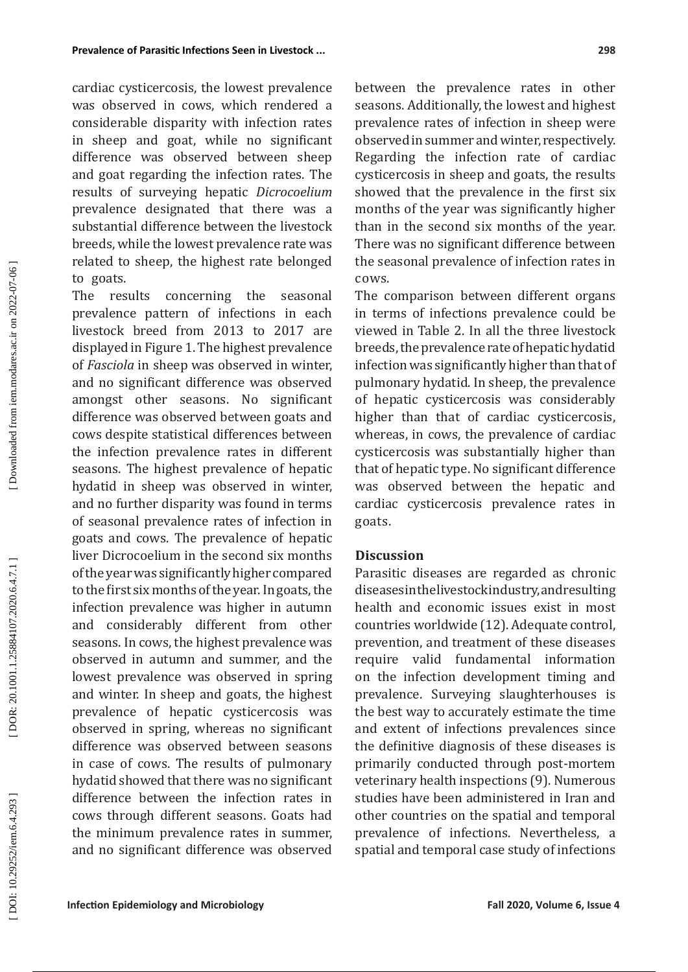cardiac cysticercosis, the lowest prevalence was observed in cows, which rendered a considerable disparity with infection rates in sheep and goat, while no significant difference was observed between sheep and goat regarding the infection rates. The results of surveying hepatic *Dicrocoelium*  prevalence designated that there was a substantial difference between the livestock breeds, while the lowest prevalence rate was related to sheep, the highest rate belonged to goats.<br>The results

concerning the seasonal prevalence pattern of infections in each livestock breed from 2013 to 2017 are displayed in Figure 1. The highest prevalence of *Fasciola* in sheep was observed in winter, and no significant difference was observed amongst other seasons. No significant difference was observed between goats and cows despite statistical differences between the infection prevalence rates in different seasons. The highest prevalence of hepatic hydatid in sheep was observed in winter, and no further disparity was found in terms of seasonal prevalence rates of infection in goats and cows. The prevalence of hepatic liver Dicrocoelium in the second six months of the year was significantly higher compared to the first six months of the year. In goats, the infection prevalence was higher in autumn and considerably different from other seasons. In cows, the highest prevalence was observed in autumn and summer, and the lowest prevalence was observed in spring and winter. In sheep and goats, the highest prevalence of hepatic cysticercosis was observed in spring, whereas no significant difference was observed between seasons in case of cows. The results of pulmonary hydatid showed that there was no significant difference between the infection rates in cows through different seasons. Goats had the minimum prevalence rates in summer, and no significant difference was observed

between the prevalence rates in other seasons. Additionally, the lowest and highest prevalence rates of infection in sheep were observed in summer and winter, respectively. Regarding the infection rate of cardiac cysticercosis in sheep and goats, the results showed that the prevalence in the first six months of the year was significantly higher than in the second six months of the year. There was no significant difference between the seasonal prevalence of infection rates in cows.

The comparison between different organs in terms of infections prevalence could be viewed in Table 2. In all the three livestock breeds, the prevalence rate of hepatic hydatid infection was significantly higher than that of pulmonary hydatid. In sheep, the prevalence of hepatic cysticercosis was considerably higher than that of cardiac cysticercosis, whereas, in cows, the prevalence of cardiac cysticercosis was substantially higher than that of hepatic type. No significant difference was observed between the hepatic and cardiac cysticercosis prevalence rates in goats.

## **Discussion**

Parasitic diseases are regarded as chronic diseases in the livestock industry, and resulting health and economic issues exist in most countries worldwide (12). Adequate control, prevention, and treatment of these diseases require valid fundamental information on the infection development timing and prevalence. Surveying slaughterhouses is the best way to accurately estimate the time and extent of infections prevalences since the definitive diagnosis of these diseases is primarily conducted through post-mortem veterinary health inspections (9). Numerous studies have been administered in Iran and other countries on the spatial and temporal prevalence of infections. Nevertheless, a spatial and temporal case study of infections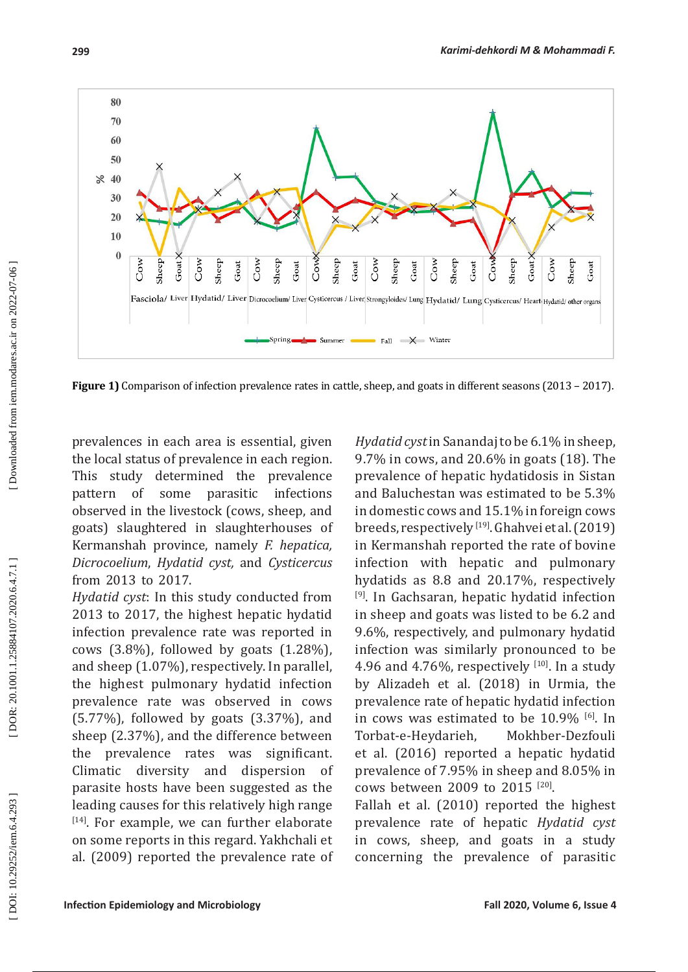80 70 60 50  $\approx 40$ 30 20 10  $\bf{0}$ Goat X Cow Goat**X** Cow Cow Cow Cow Cow Cow sheep Sheep Goat Sheep Sheep Cow Sheep Sheep Sheep Sheep Goat Goat Goat Goat Goat Fasciola/ Liver Hydatid/ Liver Dicrocoelium/ Liver Cysticercus / Liver Strongyloides/ Lung Hydatid/ Lung Cysticercus/ Heart Hydatid/ other organs Spring.  $\blacksquare$  Summer  $\rightarrow$  Fall  $\rightarrow$  Winter

**Figure 1)** Comparison of infection prevalence rates in cattle, sheep, and goats in different seasons (2013 – 2017).

prevalences in each area is essential, given the local status of prevalence in each region. This study determined the prevalence pattern of some parasitic infections observed in the livestock (cows, sheep, and goats) slaughtered in slaughterhouses of Kermanshah province, namely *F. hepatica, Dicrocoelium*, *Hydatid cyst,* and *Cysticercus*  from 2013 to 2017.

*Hydatid cyst*: In this study conducted from 2013 to 2017, the highest hepatic hydatid infection prevalence rate was reported in cows  $(3.8\%)$ , followed by goats  $(1.28\%)$ , and sheep (1.07%), respectively. In parallel, the highest pulmonary hydatid infection prevalence rate was observed in cows (5.77%), followed by goats (3.37%), and sheep (2.37%), and the difference between the prevalence rates was significant. Climatic diversity and dispersion of parasite hosts have been suggested as the leading causes for this relatively high range [14]. For example, we can further elaborate on some reports in this regard. Yakhchali et al. (2009) reported the prevalence rate of *Hydatid cyst* in Sanandaj to be 6.1% in sheep, 9.7% in cows, and 20.6% in goats (18). The prevalence of hepatic hydatidosis in Sistan and Baluchestan was estimated to be 5.3% in domestic cows and 15.1% in foreign cows breeds, respectively [19]. Ghahvei et al. (2019) in Kermanshah reported the rate of bovine infection with hepatic and pulmonary hydatids as 8.8 and 20.17%, respectively [9]. In Gachsaran, hepatic hydatid infection in sheep and goats was listed to be 6.2 and 9.6%, respectively, and pulmonary hydatid infection was similarly pronounced to be 4.96 and 4.76%, respectively  $[10]$ . In a study by Alizadeh et al. (2018) in Urmia, the prevalence rate of hepatic hydatid infection in cows was estimated to be  $10.9\%$  [6]. In Torbat-e-Heydarieh, Mokhber-Dezfouli et al. (2016) reported a hepatic hydatid prevalence of 7.95% in sheep and 8.05% in cows between 2009 to 2015 [20].

Fallah et al. (2010) reported the highest prevalence rate of hepatic *Hydatid cyst* in cows, sheep, and goats in a study concerning the prevalence of parasitic

**299**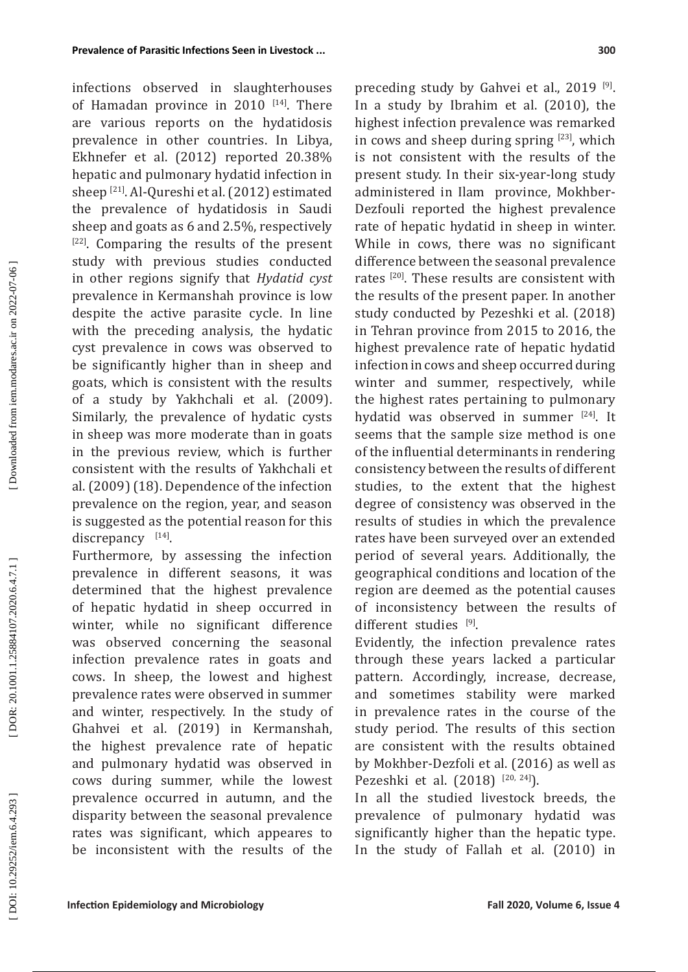**300**

infections observed in slaughterhouses of Hamadan province in 2010 [14]. There are various reports on the hydatidosis prevalence in other countries. In Libya, Ekhnefer et al. (2012) reported 20.38% hepatic and pulmonary hydatid infection in sheep [21]. Al-Qureshi et al. (2012) estimated the prevalence of hydatidosis in Saudi sheep and goats as 6 and 2.5%, respectively [22]. Comparing the results of the present study with previous studies conducted in other regions signify that *Hydatid cyst*  prevalence in Kermanshah province is low despite the active parasite cycle. In line with the preceding analysis, the hydatic cyst prevalence in cows was observed to be significantly higher than in sheep and goats, which is consistent with the results of a study by Yakhchali et al. (2009). Similarly, the prevalence of hydatic cysts in sheep was more moderate than in goats in the previous review, which is further consistent with the results of Yakhchali et al. (2009) (18). Dependence of the infection prevalence on the region, year, and season is suggested as the potential reason for this discrepancy [14].

Furthermore, by assessing the infection prevalence in different seasons, it was determined that the highest prevalence of hepatic hydatid in sheep occurred in winter, while no significant difference was observed concerning the seasonal infection prevalence rates in goats and cows. In sheep, the lowest and highest prevalence rates were observed in summer and winter, respectively. In the study of Ghahvei et al. (2019) in Kermanshah, the highest prevalence rate of hepatic and pulmonary hydatid was observed in cows during summer, while the lowest prevalence occurred in autumn, and the disparity between the seasonal prevalence rates was significant, which appeares to be inconsistent with the results of the

preceding study by Gahvei et al., 2019<sup>[9]</sup>. In a study by Ibrahim et al. (2010), the highest infection prevalence was remarked in cows and sheep during spring  $[23]$ , which is not consistent with the results of the present study. In their six-year-long study administered in Ilam province, Mokhber-Dezfouli reported the highest prevalence rate of hepatic hydatid in sheep in winter. While in cows, there was no significant difference between the seasonal prevalence rates [20]. These results are consistent with the results of the present paper. In another study conducted by Pezeshki et al. (2018) in Tehran province from 2015 to 2016, the highest prevalence rate of hepatic hydatid infection in cows and sheep occurred during winter and summer, respectively, while the highest rates pertaining to pulmonary hydatid was observed in summer [24]. It seems that the sample size method is one of the influential determinants in rendering consistency between the results of different studies, to the extent that the highest degree of consistency was observed in the results of studies in which the prevalence rates have been surveyed over an extended period of several years. Additionally, the geographical conditions and location of the region are deemed as the potential causes of inconsistency between the results of different studies [9] .

Evidently, the infection prevalence rates through these years lacked a particular pattern. Accordingly, increase, decrease, and sometimes stability were marked in prevalence rates in the course of the study period. The results of this section are consistent with the results obtained by Mokhber-Dezfoli et al. (2016) as well as Pezeshki et al. (2018) [20, 24]).

In all the studied livestock breeds, the prevalence of pulmonary hydatid was significantly higher than the hepatic type. In the study of Fallah et al. (2010) in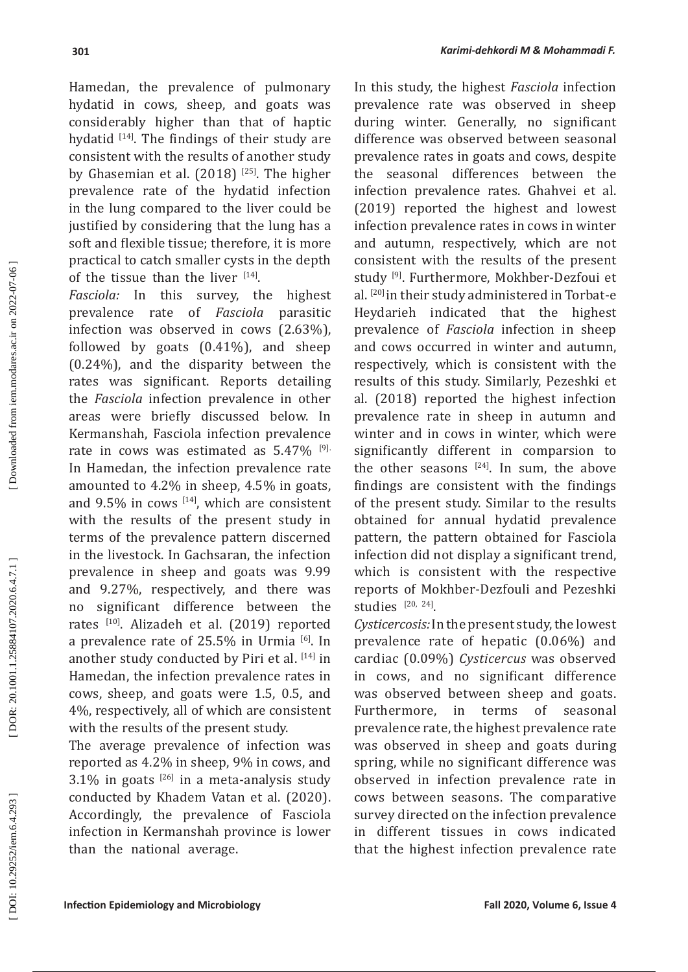Hamedan, the prevalence of pulmonary hydatid in cows, sheep, and goats was considerably higher than that of haptic hydatid <sup>[14]</sup>. The findings of their study are consistent with the results of another study by Ghasemian et al. (2018) [25]. The higher prevalence rate of the hydatid infection in the lung compared to the liver could be justified by considering that the lung has a soft and flexible tissue; therefore, it is more practical to catch smaller cysts in the depth of the tissue than the liver  $[14]$ .

*Fasciola:* In this survey, the highest prevalence rate of *Fasciola* parasitic infection was observed in cows (2.63%), followed by goats (0.41%), and sheep (0.24%), and the disparity between the rates was significant. Reports detailing the *Fasciola* infection prevalence in other areas were briefly discussed below. In Kermanshah, Fasciola infection prevalence rate in cows was estimated as 5.47% [9]. In Hamedan, the infection prevalence rate amounted to 4.2% in sheep, 4.5% in goats, and  $9.5\%$  in cows  $[14]$ , which are consistent with the results of the present study in terms of the prevalence pattern discerned in the livestock. In Gachsaran, the infection prevalence in sheep and goats was 9.99 and 9.27%, respectively, and there was no significant difference between the rates [10]. Alizadeh et al. (2019) reported a prevalence rate of  $25.5\%$  in Urmia  $^{[6]}$ . In another study conducted by Piri et al. [14] in Hamedan, the infection prevalence rates in cows, sheep, and goats were 1.5, 0.5, and 4%, respectively, all of which are consistent with the results of the present study.

The average prevalence of infection was reported as 4.2% in sheep, 9% in cows, and  $3.1\%$  in goats  $^{[26]}$  in a meta-analysis study conducted by Khadem Vatan et al. (2020). Accordingly, the prevalence of Fasciola infection in Kermanshah province is lower than the national average.

In this study, the highest *Fasciola* infection prevalence rate was observed in sheep during winter. Generally, no significant difference was observed between seasonal prevalence rates in goats and cows, despite the seasonal differences between the infection prevalence rates. Ghahvei et al. (2019) reported the highest and lowest infection prevalence rates in cows in winter and autumn, respectively, which are not consistent with the results of the present study [9]. Furthermore, Mokhber-Dezfoui et al. [20] in their study administered in Torbat-e Heydarieh indicated that the highest prevalence of *Fasciola* infection in sheep and cows occurred in winter and autumn, respectively, which is consistent with the results of this study. Similarly, Pezeshki et al. (2018) reported the highest infection prevalence rate in sheep in autumn and winter and in cows in winter, which were significantly different in comparsion to the other seasons  $[24]$ . In sum, the above findings are consistent with the findings of the present study. Similar to the results obtained for annual hydatid prevalence pattern, the pattern obtained for Fasciola infection did not display a significant trend, which is consistent with the respective reports of Mokhber-Dezfouli and Pezeshki studies  $[20, 24]$ .

*Cysticercosis:* In the present study, the lowest prevalence rate of hepatic (0.06%) and cardiac (0.09%) *Cysticercus* was observed in cows, and no significant difference was observed between sheep and goats. Furthermore, in terms of seasonal prevalence rate, the highest prevalence rate was observed in sheep and goats during spring, while no significant difference was observed in infection prevalence rate in cows between seasons. The comparative survey directed on the infection prevalence in different tissues in cows indicated that the highest infection prevalence rate

Downloaded from iem.modares.ac.ir on 2022-07-06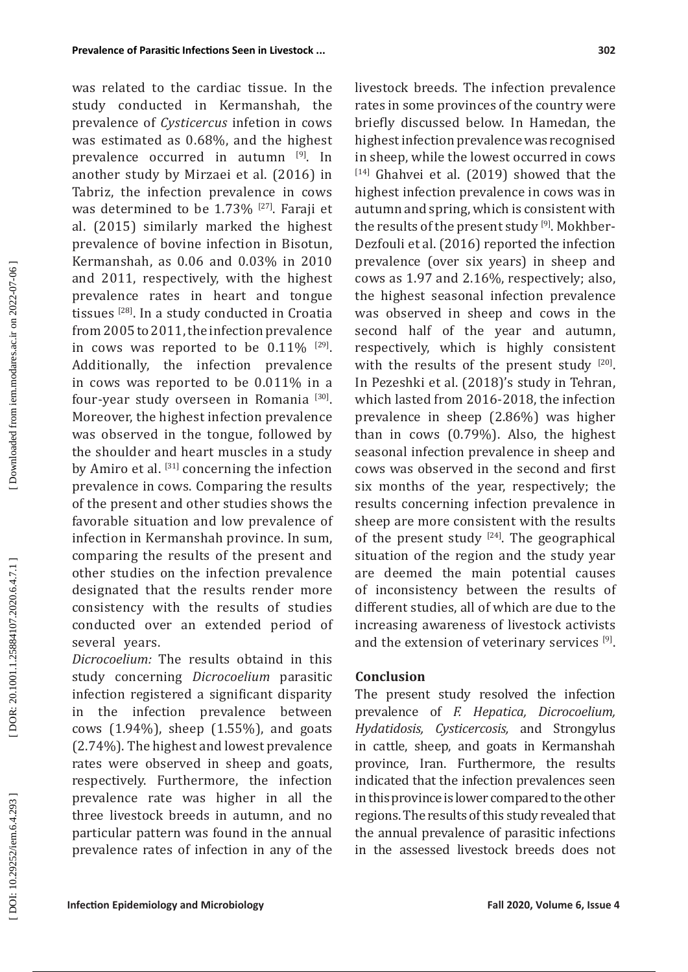was related to the cardiac tissue. In the study conducted in Kermanshah, the prevalence of *Cysticercus* infetion in cows was estimated as 0.68%, and the highest prevalence occurred in autumn [9]. In another study by Mirzaei et al. (2016) in Tabriz, the infection prevalence in cows was determined to be  $1.73\%$  <sup>[27]</sup>. Faraji et al. (2015) similarly marked the highest prevalence of bovine infection in Bisotun, Kermanshah, as 0.06 and 0.03% in 2010 and 2011, respectively, with the highest prevalence rates in heart and tongue tissues <a>[28]</a>. In a study conducted in Croatia from 2005 to 2011, the infection prevalence in cows was reported to be  $0.11\%$  [29]. Additionally, the infection prevalence in cows was reported to be 0.011% in a four-year study overseen in Romania [30]. Moreover, the highest infection prevalence was observed in the tongue, followed by the shoulder and heart muscles in a study by Amiro et al. [31] concerning the infection prevalence in cows. Comparing the results of the present and other studies shows the favorable situation and low prevalence of infection in Kermanshah province. In sum, comparing the results of the present and other studies on the infection prevalence designated that the results render more consistency with the results of studies conducted over an extended period of several years.

*Dicrocoelium:* The results obtaind in this study concerning *Dicrocoelium* parasitic infection registered a significant disparity in the infection prevalence between cows (1.94%), sheep (1.55%), and goats (2.74%). The highest and lowest prevalence rates were observed in sheep and goats, respectively. Furthermore, the infection prevalence rate was higher in all the three livestock breeds in autumn, and no particular pattern was found in the annual prevalence rates of infection in any of the livestock breeds. The infection prevalence rates in some provinces of the country were briefly discussed below. In Hamedan, the highest infection prevalence was recognised in sheep, while the lowest occurred in cows  $[14]$  Ghahvei et al. (2019) showed that the highest infection prevalence in cows was in autumn and spring, which is consistent with the results of the present study  $\mathsf{I}^{9}$ . Mokhber-Dezfouli et al. (2016) reported the infection prevalence (over six years) in sheep and cows as 1.97 and 2.16%, respectively; also, the highest seasonal infection prevalence was observed in sheep and cows in the second half of the year and autumn, respectively, which is highly consistent with the results of the present study [20]. In Pezeshki et al. (2018)'s study in Tehran, which lasted from 2016-2018, the infection prevalence in sheep (2.86%) was higher than in cows (0.79%). Also, the highest seasonal infection prevalence in sheep and cows was observed in the second and first six months of the year, respectively; the results concerning infection prevalence in sheep are more consistent with the results of the present study  $[24]$ . The geographical situation of the region and the study year are deemed the main potential causes of inconsistency between the results of different studies, all of which are due to the increasing awareness of livestock activists and the extension of veterinary services  $\mathbb{P}^1$ .

## **Conclusion**

The present study resolved the infection prevalence of *F. Hepatica, Dicrocoelium, Hydatidosis, Cysticercosis,* and Strongylus in cattle, sheep, and goats in Kermanshah province, Iran. Furthermore, the results indicated that the infection prevalences seen in this province is lower compared to the other regions. The results of this study revealed that the annual prevalence of parasitic infections in the assessed livestock breeds does not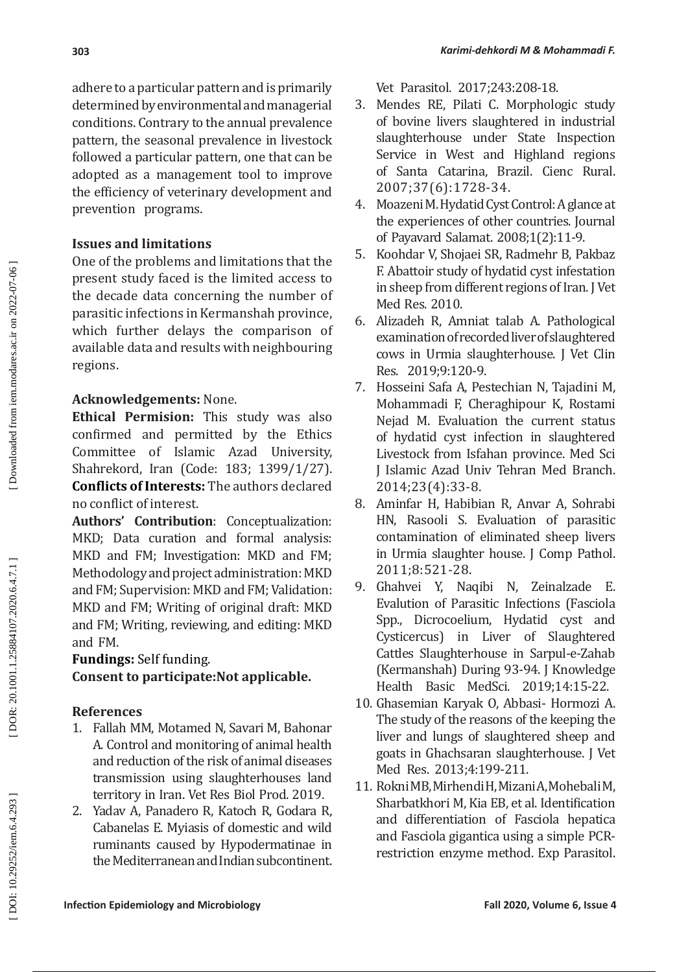adhere to a particular pattern and is primarily determined by environmental and managerial conditions. Contrary to the annual prevalence pattern, the seasonal prevalence in livestock followed a particular pattern, one that can be adopted as a management tool to improve the efficiency of veterinary development and prevention programs.

# **Issues and limitations**

One of the problems and limitations that the present study faced is the limited access to the decade data concerning the number of parasitic infections in Kermanshah province, which further delays the comparison of available data and results with neighbouring regions.

# **Acknowledgements:** None.

**Ethical Permision:** This study was also confirmed and permitted by the Ethics Committee of Islamic Azad University, Shahrekord, Iran (Code: 183; 1399/1/27). **Conflicts of Interests:** The authors declared no conflict of interest.

**Authors' Contribution**: Conceptualization: MKD; Data curation and formal analysis: MKD and FM; Investigation: MKD and FM; Methodology and project administration: MKD and FM; Supervision: MKD and FM; Validation: MKD and FM; Writing of original draft: MKD and FM; Writing, reviewing, and editing: MKD and FM.

**Fundings:** Self funding.

**Consent to participate:Not applicable.**

# **References**

- 1. Fallah MM, Motamed N, Savari M, Bahonar A. Control and monitoring of animal health and reduction of the risk of animal diseases transmission using slaughterhouses land territory in Iran. Vet Res Biol Prod. 2019.
- 2. Yadav A, Panadero R, Katoch R, Godara R, Cabanelas E. Myiasis of domestic and wild ruminants caused by Hypodermatinae in the Mediterranean and Indian subcontinent.

Vet Parasitol. 2017;243:208-18.

- 3. Mendes RE, Pilati C. Morphologic study of bovine livers slaughtered in industrial slaughterhouse under State Inspection Service in West and Highland regions of Santa Catarina, Brazil. Cienc Rural. 2007;37(6):1728-34.
- 4. Moazeni M. Hydatid Cyst Control: A glance at the experiences of other countries. Journal of Payavard Salamat. 2008;1(2):11-9.
- 5. Koohdar V, Shojaei SR, Radmehr B, Pakbaz F. Abattoir study of hydatid cyst infestation in sheep from different regions of Iran. J Vet Med Res. 2010.
- 6. Alizadeh R, Amniat talab A. Pathological examination of recorded liver of slaughtered cows in Urmia slaughterhouse. J Vet Clin Res. 2019;9:120-9.
- 7. Hosseini Safa A, Pestechian N, Tajadini M, Mohammadi F, Cheraghipour K, Rostami Nejad M. Evaluation the current status of hydatid cyst infection in slaughtered Livestock from Isfahan province. Med Sci J Islamic Azad Univ Tehran Med Branch. 2014;23(4):33-8.
- 8. Aminfar H, Habibian R, Anvar A, Sohrabi HN, Rasooli S. Evaluation of parasitic contamination of eliminated sheep livers in Urmia slaughter house. J Comp Pathol. 2011;8:521-28.
- 9. Ghahvei Y, Naqibi N, Zeinalzade E. Evalution of Parasitic Infections (Fasciola Spp., Dicrocoelium, Hydatid cyst and Cysticercus) in Liver of Slaughtered Cattles Slaughterhouse in Sarpul-e-Zahab (Kermanshah) During 93-94. J Knowledge Health Basic MedSci. 2019;14:15-22.
- 10. Ghasemian Karyak O, Abbasi- Hormozi A. The study of the reasons of the keeping the liver and lungs of slaughtered sheep and goats in Ghachsaran slaughterhouse. J Vet Med Res. 2013;4:199-211.
- 11. Rokni MB, Mirhendi H, Mizani A, Mohebali M, Sharbatkhori M, Kia EB, et al. Identification and differentiation of Fasciola hepatica and Fasciola gigantica using a simple PCRrestriction enzyme method. Exp Parasitol.